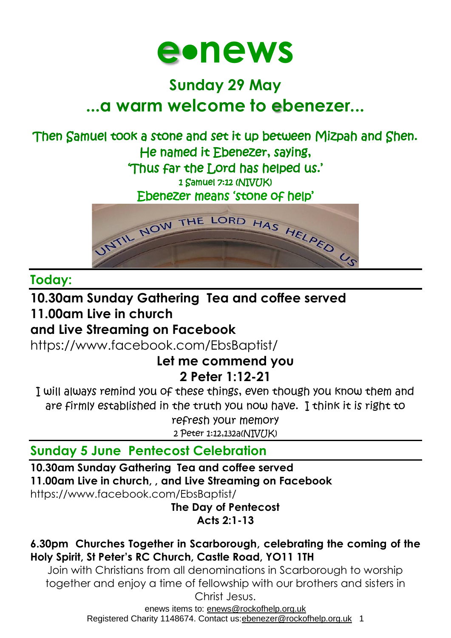

# **Sunday 29 May ...a warm welcome to ebenezer...**

# Then Samuel took a stone and set it up between Mizpah and Shen. He named it Ebenezer, saying,

'Thus far the Lord has helped us.'

1 Samuel 7:12 (NIV(TK)

Ebenezer means 'stone of help'



#### **Today:**

#### **10.30am Sunday Gathering Tea and coffee served 11.00am Live in church**

## **and Live Streaming on Facebook**

<https://www.facebook.com/EbsBaptist/>

#### **Let me commend you 2 Peter 1:12-21**

I will always remind you of these things, even though you know them and are firmly established in the truth you now have. I think it is right to refresh your memory

2 Peter 1:12,132a(NIV/IK)

# **Sunday 5 June Pentecost Celebration**

**10.30am Sunday Gathering Tea and coffee served**

**11.00am Live in church, , and Live Streaming on Facebook**

<https://www.facebook.com/EbsBaptist/>

**The Day of Pentecost Acts 2:1-13**

#### **6.30pm Churches Together in Scarborough, celebrating the coming of the Holy Spirit, St Peter's RC Church, Castle Road, YO11 1TH**

Join with Christians from all denominations in Scarborough to worship together and enjoy a time of fellowship with our brothers and sisters in Christ Jesus.

enews items to: [enews@rockofhelp.org.uk](mailto:enews@rockofhelp.org.uk) Registered Charity 1148674. Contact us:ebenezer@rockofhelp.org.uk 1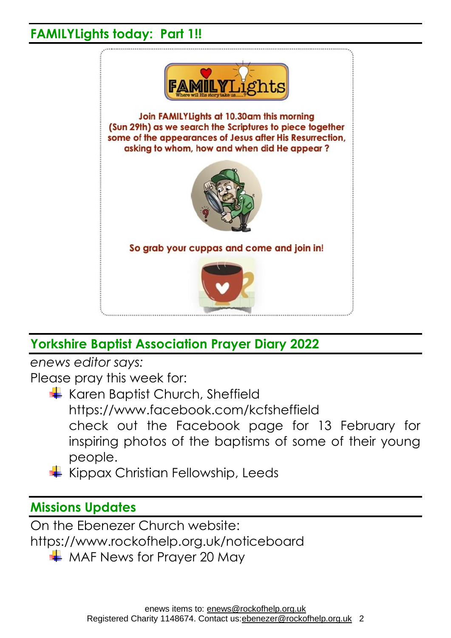### **FAMILYLights today: Part 1!!**



# **Yorkshire Baptist Association Prayer Diary 2022**

*enews editor says:*

Please pray this week for:

- Karen Baptist Church, Sheffield <https://www.facebook.com/kcfsheffield> check out the Facebook page for 13 February for inspiring photos of the baptisms of some of their young people.
- $\frac{1}{\sqrt{2}}$  Kippax Christian Fellowship, Leeds

### **Missions Updates**

On the Ebenezer Church website: <https://www.rockofhelp.org.uk/noticeboard>

 $\overline{\phantom{a}^+}$  MAF News for Prayer 20 May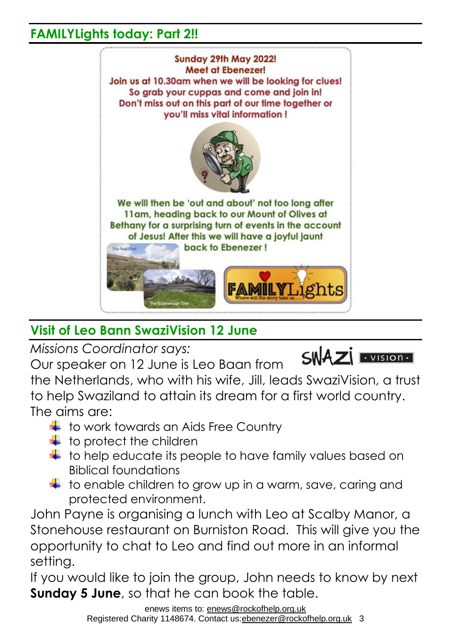### **FAMILYLights today: Part 2!!**



# **Visit of Leo Bann SwaziVision 12 June**

*Missions Coordinator says:*

Our speaker on 12 June is Leo Baan from



the Netherlands, who with his wife, Jill, leads SwaziVision, a trust to help Swaziland to attain its dream for a first world country. The aims are:

- $\pm$  to work towards an Aids Free Country
- $\ddagger$  to protect the children
- $\frac{1}{\sqrt{2}}$  to help educate its people to have family values based on Biblical foundations
- $\downarrow$  to enable children to grow up in a warm, save, caring and protected environment.

John Payne is organising a lunch with Leo at Scalby Manor, a Stonehouse restaurant on Burniston Road. This will give you the opportunity to chat to Leo and find out more in an informal setting.

If you would like to join the group, John needs to know by next **Sunday 5 June**, so that he can book the table.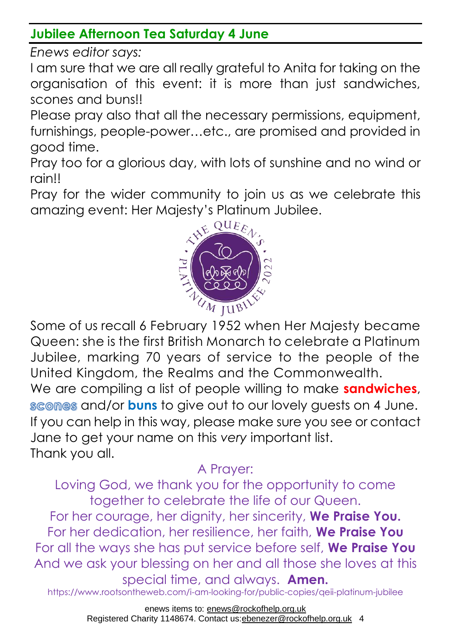### **Jubilee Afternoon Tea Saturday 4 June**

*Enews editor says:*

I am sure that we are all really grateful to Anita for taking on the organisation of this event: it is more than just sandwiches, scones and buns!!

Please pray also that all the necessary permissions, equipment, furnishings, people-power…etc., are promised and provided in good time.

Pray too for a glorious day, with lots of sunshine and no wind or rain!!

Pray for the wider community to join us as we celebrate this amazing event: Her Majesty's Platinum Jubilee.



Some of us recall 6 February 1952 when Her Majesty became Queen: she is the first British Monarch to celebrate a Platinum Jubilee, marking 70 years of service to the people of the United Kingdom, the Realms and the Commonwealth. We are compiling a list of people willing to make **sandwiches**, scomes and/or **buns** to give out to our lovely quests on 4 June. If you can help in this way, please make sure you see or contact Jane to get your name on this *very* important list. Thank you all.

# A Prayer:

Loving God, we thank you for the opportunity to come together to celebrate the life of our Queen.

For her courage, her dignity, her sincerity, **We Praise You.** For her dedication, her resilience, her faith, **We Praise You** For all the ways she has put service before self, **We Praise You** And we ask your blessing on her and all those she loves at this special time, and always. **Amen.**

https://www.rootsontheweb.com/i-am-looking-for/public-copies/qeii-platinum-jubilee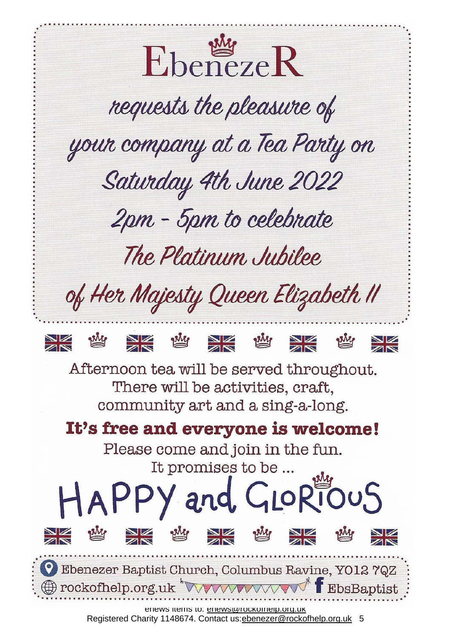

Registered Charity 1148674. Contact us: ebenezer@rockofhelp.org.uk 5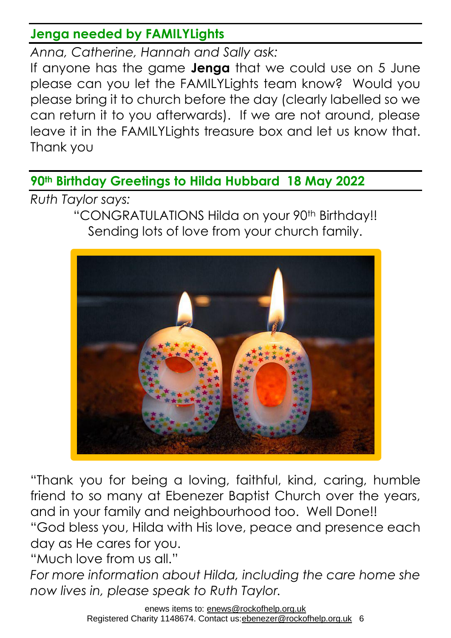### **Jenga needed by FAMILYLights**

*Anna, Catherine, Hannah and Sally ask:*

If anyone has the game **Jenga** that we could use on 5 June please can you let the FAMILYLights team know? Would you please bring it to church before the day (clearly labelled so we can return it to you afterwards). If we are not around, please leave it in the FAMILYLights treasure box and let us know that. Thank you

**90th Birthday Greetings to Hilda Hubbard 18 May 2022**

*Ruth Taylor says:*

"CONGRATULATIONS Hilda on your 90<sup>th</sup> Birthday!! Sending lots of love from your church family.



"Thank you for being a loving, faithful, kind, caring, humble friend to so many at Ebenezer Baptist Church over the years, and in your family and neighbourhood too. Well Done!! "God bless you, Hilda with His love, peace and presence each day as He cares for you.

"Much love from us all."

*For more information about Hilda, including the care home she now lives in, please speak to Ruth Taylor.*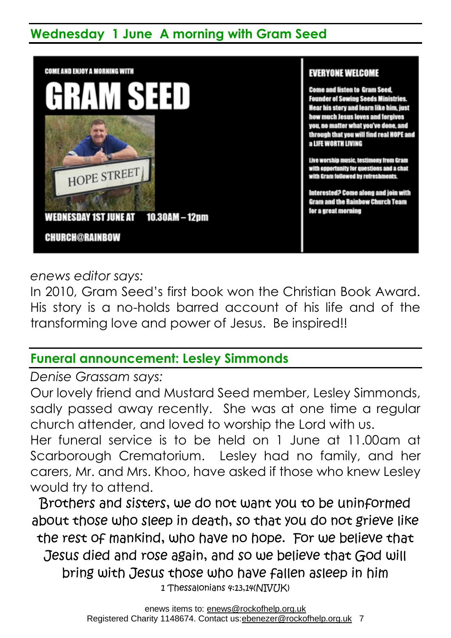## **Wednesday 1 June A morning with Gram Seed**



*enews editor says:*

In 2010, Gram Seed's first book won the Christian Book Award. His story is a no-holds barred account of his life and of the transforming love and power of Jesus. Be inspired!!

### **Funeral announcement: Lesley Simmonds**

*Denise Grassam says:*

Our lovely friend and Mustard Seed member, Lesley Simmonds, sadly passed away recently. She was at one time a regular church attender, and loved to worship the Lord with us.

Her funeral service is to be held on 1 June at 11.00am at Scarborough Crematorium. Lesley had no family, and her carers, Mr. and Mrs. Khoo, have asked if those who knew Lesley would try to attend.

Brothers and sisters, we do not want you to be uninformed about those who sleep in death, so that you do not grieve like the rest of mankind, who have no hope. For we believe that Jesus died and rose again, and so we believe that God will bring with Jesus those who have fallen asleep in him 1 Thessalonians 4:13,14(NIV(JK)